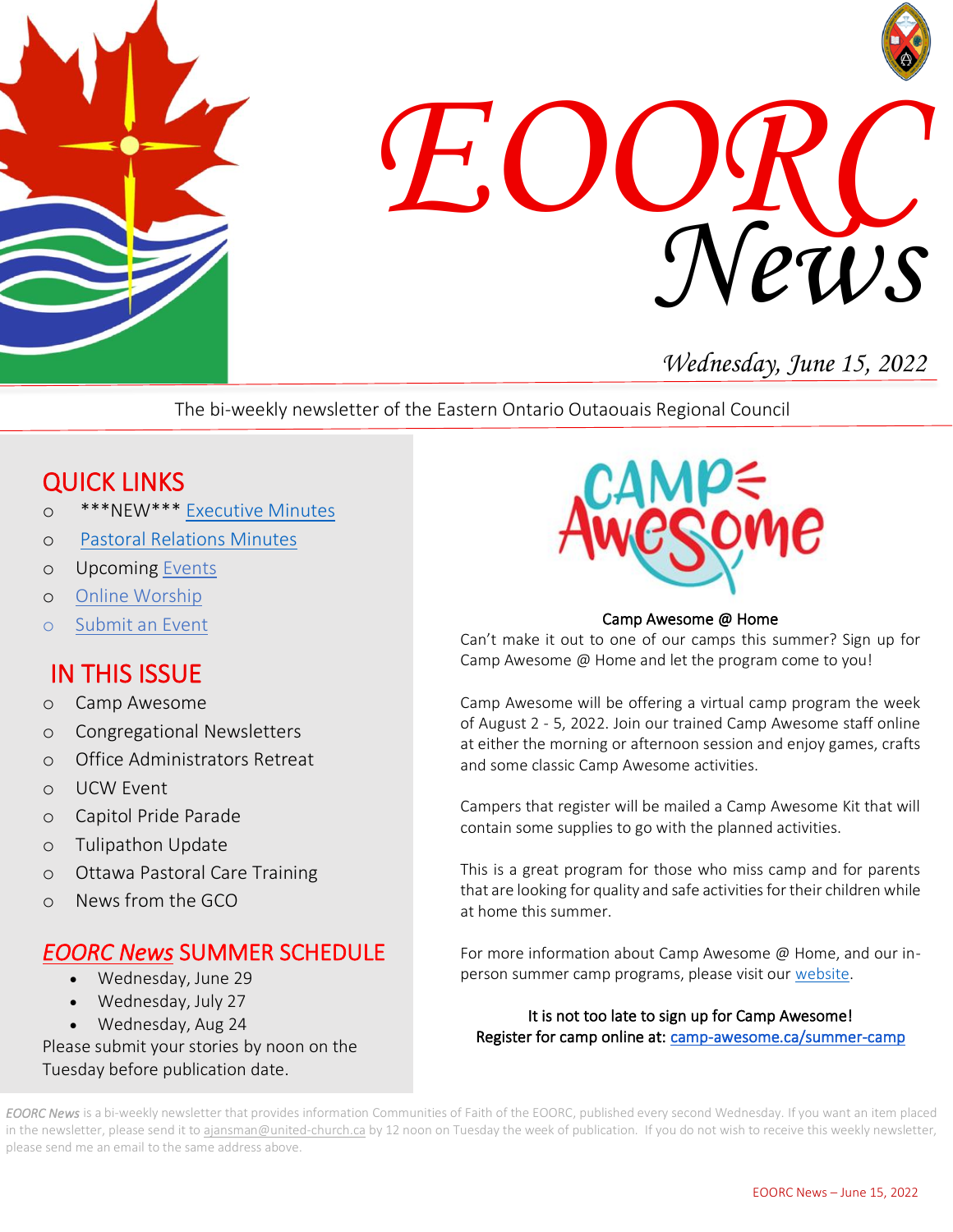



# *Wednesday, June 15, 2022*

The bi-weekly newsletter of the Eastern Ontario Outaouais Regional Council

# QUICK LINKS

- o \*\*\*NEW\*\*\* [Executive Minutes](https://eoorc.ca/about-us/governance/)
- o Pastoral [Relations Minutes](https://eoorc.ca/ministries/pastoral-relations-minutes/)
- o Upcoming [Events](https://eoorc.ca/events/)
- o [Online Worship](https://eoorc.ca/resources/online-worship/)
- o [Submit](https://eoorc.ca/events/community/add) an Event

# IN THIS ISSUE

- o Camp Awesome
- o Congregational Newsletters
- o Office Administrators Retreat
- o UCW Event
- o Capitol Pride Parade
- o Tulipathon Update
- o Ottawa Pastoral Care Training
- o News from the GCO

### *EOORC News* SUMMER SCHEDULE

- Wednesday, June 29
- Wednesday, July 27
- Wednesday, Aug 24

Please submit your stories by noon on the Tuesday before publication date.



#### Camp Awesome @ Home

Can't make it out to one of our camps this summer? Sign up for Camp Awesome @ Home and let the program come to you!

Camp Awesome will be offering a virtual camp program the week of August 2 - 5, 2022. Join our trained Camp Awesome staff online at either the morning or afternoon session and enjoy games, crafts and some classic Camp Awesome activities.

Campers that register will be mailed a Camp Awesome Kit that will contain some supplies to go with the planned activities.

This is a great program for those who miss camp and for parents that are looking for quality and safe activities for their children while at home this summer.

For more information about Camp Awesome @ Home, and our inperson summer camp programs, please visit our [website.](https://camp-awesome.ca/)

It is not too late to sign up for Camp Awesome! Register for camp online at[: camp-awesome.ca/summer-camp](https://eoorc.ca/camp-awesome-summer-registration/)

*EOORC News* is a bi-weekly newsletter that provides information Communities of Faith of the EOORC, published every second Wednesday. If you want an item placed in the newsletter, please send it to [ajansman@united-church.ca](mailto:ajansman@united-church.ca) by 12 noon on Tuesday the week of publication. If you do not wish to receive this weekly newsletter, please send me an email to the same address above.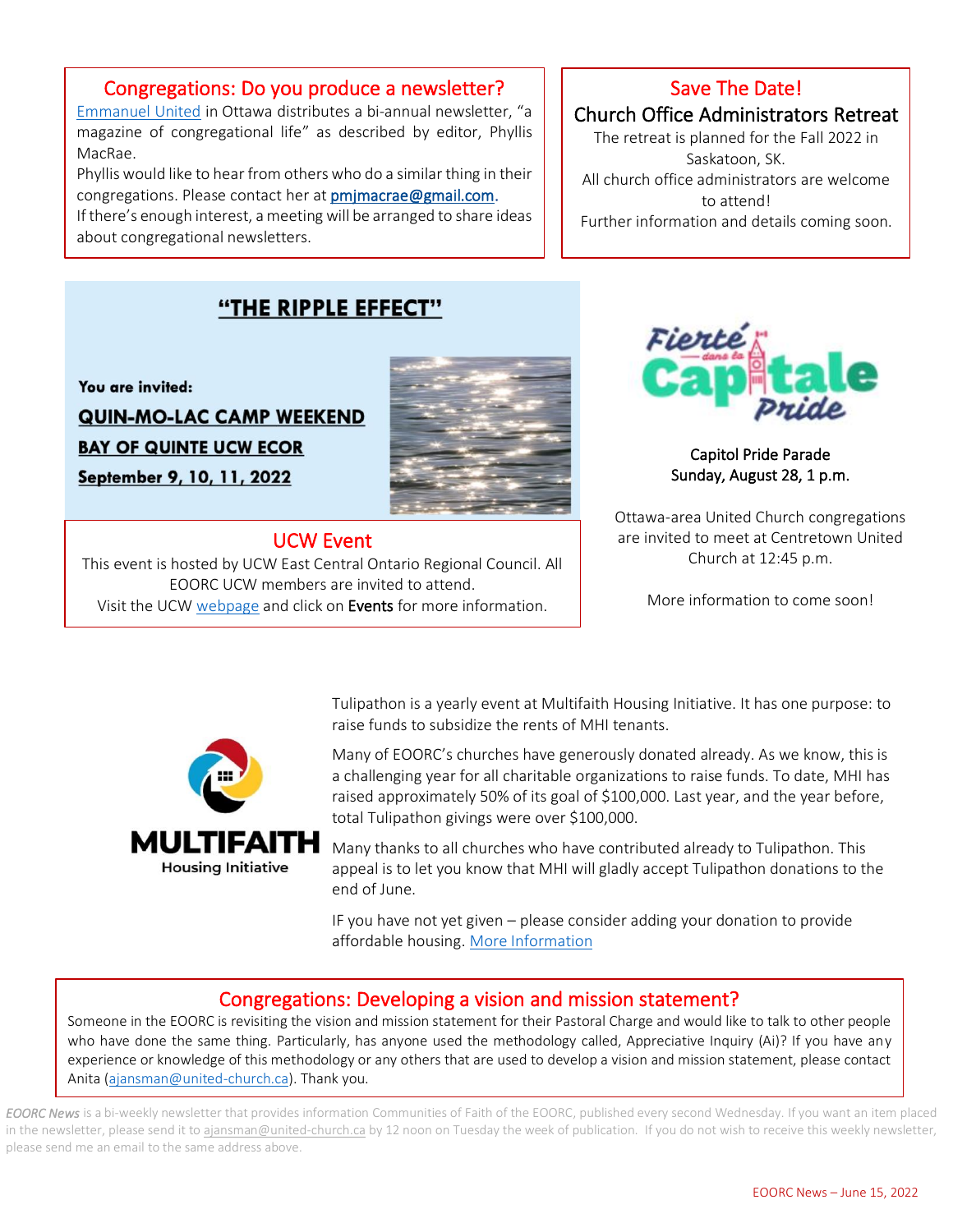#### Congregations: Do you produce a newsletter?

 magazine of congregational life" as described by editor, Phyllis [Emmanuel United](https://www.emmanuelunited.ca/) in Ottawa distributes a bi-annual newsletter, "a MacRae.

Phyllis would like to hear from others who do a similar thing in their congregations. Please contact her a[t pmjmacrae@gmail.com.](mailto:pmjmacrae@gmail.com)

congregations. Piease contact ner at <u>pmjmacrae@gmaii.com</u>.<br>If there's enough interest, a meeting will be arranged to share ideas about congregational newsletters.

### Save The Date!

Church Office Administrators Retreat

The retreat is planned for the Fall 2022 in Saskatoon, SK. All church office administrators are welcome to attend! Further information and details coming soon.

## "THE RIPPLE EFFECT"

You are invited: **QUIN-MO-LAC CAMP WEEKEND BAY OF QUINTE UCW ECOR** September 9, 10, 11, 2022

 $\overline{a}$ 



İ

#### UCW Event

Visit the UCW [webpage](https://eoorc.ca/ministries/united-church-women-2/) and click on Events for more information. This event is hosted by UCW East Central Ontario Regional Council. All EOORC UCW members are invited to attend.



 Capitol Pride Parade Sunday, August 28, 1 p.m.

Ottawa-area United Church congregations are invited to meet at Centretown United Church at 12:45 p.m.

More information to come soon!



 raise funds to subsidize the rents of MHI tenants. Tulipathon is a yearly event at Multifaith Housing Initiative. It has one purpose: to

 Many of EOORC's churches have generously donated already. As we know, this is a challenging year for all charitable organizations to raise funds. To date, MHI has raised approximately 50% of its goal of \$100,000. Last year, and the year before, total Tulipathon givings were over \$100,000.

 Many thanks to all churches who have contributed already to Tulipathon. This appeal is to let you know that MHI will gladly accept Tulipathon donations to the end of June.

IF you have not yet given – please con<br>affordable housing. <u>[More Information](https://www.multifaithhousing.ca/tulipathon.html)</u> IF you have not yet given – please consider adding your donation to provide

# Congregations: Developing a vision and mission statement?

 Someone in the EOORC is revisiting the vision and mission statement for their Pastoral Charge and would like to talk to other people who have done the same thing. Particularly, has anyone used the methodology called, Appreciative inquiry (Al). If you have any<br>experience or knowledge of this methodology or any others that are used to develop a vision and who have done the same thing. Particularly, has anyone used the methodology called, Appreciative Inquiry (Ai)? If you have any Anita [\(ajansman@united-church.ca\)](mailto:ajansman@united-church.ca). Thank you.

*EOORC News* is a bi-weekly newsletter that provides information Communities of Faith of the EOORC, published every second Wednesday. If you want an item placed in the newsletter, please send it to [ajansman@united-church.ca](mailto:ajansman@united-church.ca) by 12 noon on Tuesday the week of publication. If you do not wish to receive this weekly newsletter, please send me an email to the same address above.